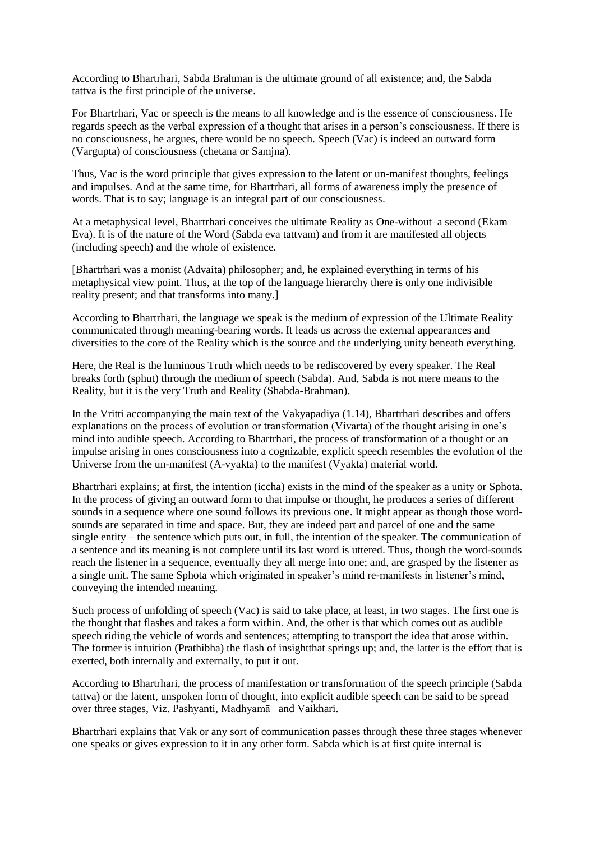According to Bhartrhari, Sabda Brahman is the ultimate ground of all existence; and, the Sabda tattva is the first principle of the universe.

For Bhartrhari, Vac or speech is the means to all knowledge and is the essence of consciousness. He regards speech as the verbal expression of a thought that arises in a person's consciousness. If there is no consciousness, he argues, there would be no speech. Speech (Vac) is indeed an outward form (Vargupta) of consciousness (chetana or Samjna).

Thus, Vac is the word principle that gives expression to the latent or un-manifest thoughts, feelings and impulses. And at the same time, for Bhartrhari, all forms of awareness imply the presence of words. That is to say; language is an integral part of our consciousness.

At a metaphysical level, Bhartrhari conceives the ultimate Reality as One-without–a second (Ekam Eva). It is of the nature of the Word (Sabda eva tattvam) and from it are manifested all objects (including speech) and the whole of existence.

[Bhartrhari was a monist (Advaita) philosopher; and, he explained everything in terms of his metaphysical view point. Thus, at the top of the language hierarchy there is only one indivisible reality present; and that transforms into many.]

According to Bhartrhari, the language we speak is the medium of expression of the Ultimate Reality communicated through meaning-bearing words. It leads us across the external appearances and diversities to the core of the Reality which is the source and the underlying unity beneath everything.

Here, the Real is the luminous Truth which needs to be rediscovered by every speaker. The Real breaks forth (sphut) through the medium of speech (Sabda). And, Sabda is not mere means to the Reality, but it is the very Truth and Reality (Shabda-Brahman).

In the Vritti accompanying the main text of the Vakyapadiya (1.14), Bhartrhari describes and offers explanations on the process of evolution or transformation (Vivarta) of the thought arising in one's mind into audible speech. According to Bhartrhari, the process of transformation of a thought or an impulse arising in ones consciousness into a cognizable, explicit speech resembles the evolution of the Universe from the un-manifest (A-vyakta) to the manifest (Vyakta) material world.

Bhartrhari explains; at first, the intention (iccha) exists in the mind of the speaker as a unity or Sphota. In the process of giving an outward form to that impulse or thought, he produces a series of different sounds in a sequence where one sound follows its previous one. It might appear as though those wordsounds are separated in time and space. But, they are indeed part and parcel of one and the same single entity – the sentence which puts out, in full, the intention of the speaker. The communication of a sentence and its meaning is not complete until its last word is uttered. Thus, though the word-sounds reach the listener in a sequence, eventually they all merge into one; and, are grasped by the listener as a single unit. The same Sphota which originated in speaker's mind re-manifests in listener's mind, conveying the intended meaning.

Such process of unfolding of speech (Vac) is said to take place, at least, in two stages. The first one is the thought that flashes and takes a form within. And, the other is that which comes out as audible speech riding the vehicle of words and sentences; attempting to transport the idea that arose within. The former is intuition (Prathibha) the flash of insightthat springs up; and, the latter is the effort that is exerted, both internally and externally, to put it out.

According to Bhartrhari, the process of manifestation or transformation of the speech principle (Sabda tattva) or the latent, unspoken form of thought, into explicit audible speech can be said to be spread over three stages, Viz. Pashyanti, Madhyamā and Vaikhari.

Bhartrhari explains that Vak or any sort of communication passes through these three stages whenever one speaks or gives expression to it in any other form. Sabda which is at first quite internal is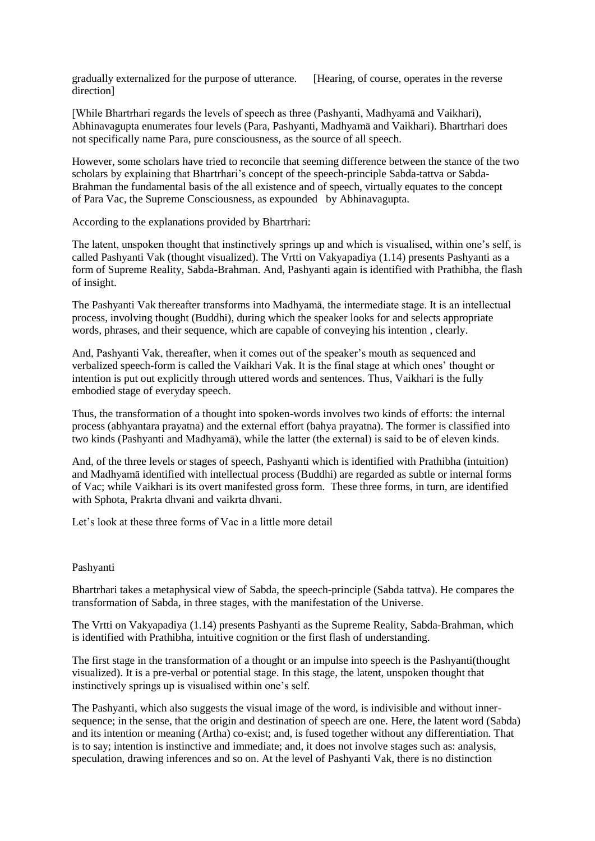gradually externalized for the purpose of utterance. [Hearing, of course, operates in the reverse direction]

[While Bhartrhari regards the levels of speech as three (Pashyanti, Madhyamā and Vaikhari), Abhinavagupta enumerates four levels (Para, Pashyanti, Madhyamā and Vaikhari). Bhartrhari does not specifically name Para, pure consciousness, as the source of all speech.

However, some scholars have tried to reconcile that seeming difference between the stance of the two scholars by explaining that Bhartrhari's concept of the speech-principle Sabda-tattva or Sabda-Brahman the fundamental basis of the all existence and of speech, virtually equates to the concept of Para Vac, the Supreme Consciousness, as expounded by Abhinavagupta.

According to the explanations provided by Bhartrhari:

The latent, unspoken thought that instinctively springs up and which is visualised, within one's self, is called Pashyanti Vak (thought visualized). The Vrtti on Vakyapadiya (1.14) presents Pashyanti as a form of Supreme Reality, Sabda-Brahman. And, Pashyanti again is identified with Prathibha, the flash of insight.

The Pashyanti Vak thereafter transforms into Madhyamā, the intermediate stage. It is an intellectual process, involving thought (Buddhi), during which the speaker looks for and selects appropriate words, phrases, and their sequence, which are capable of conveying his intention , clearly.

And, Pashyanti Vak, thereafter, when it comes out of the speaker's mouth as sequenced and verbalized speech-form is called the Vaikhari Vak. It is the final stage at which ones' thought or intention is put out explicitly through uttered words and sentences. Thus, Vaikhari is the fully embodied stage of everyday speech.

Thus, the transformation of a thought into spoken-words involves two kinds of efforts: the internal process (abhyantara prayatna) and the external effort (bahya prayatna). The former is classified into two kinds (Pashyanti and Madhyamā), while the latter (the external) is said to be of eleven kinds.

And, of the three levels or stages of speech, Pashyanti which is identified with Prathibha (intuition) and Madhyamā identified with intellectual process (Buddhi) are regarded as subtle or internal forms of Vac; while Vaikhari is its overt manifested gross form. These three forms, in turn, are identified with Sphota, Prakrta dhvani and vaikrta dhvani.

Let's look at these three forms of Vac in a little more detail

## Pashyanti

Bhartrhari takes a metaphysical view of Sabda, the speech-principle (Sabda tattva). He compares the transformation of Sabda, in three stages, with the manifestation of the Universe.

The Vrtti on Vakyapadiya (1.14) presents Pashyanti as the Supreme Reality, Sabda-Brahman, which is identified with Prathibha, intuitive cognition or the first flash of understanding.

The first stage in the transformation of a thought or an impulse into speech is the Pashyanti(thought visualized). It is a pre-verbal or potential stage. In this stage, the latent, unspoken thought that instinctively springs up is visualised within one's self.

The Pashyanti, which also suggests the visual image of the word, is indivisible and without innersequence; in the sense, that the origin and destination of speech are one. Here, the latent word (Sabda) and its intention or meaning (Artha) co-exist; and, is fused together without any differentiation. That is to say; intention is instinctive and immediate; and, it does not involve stages such as: analysis, speculation, drawing inferences and so on. At the level of Pashyanti Vak, there is no distinction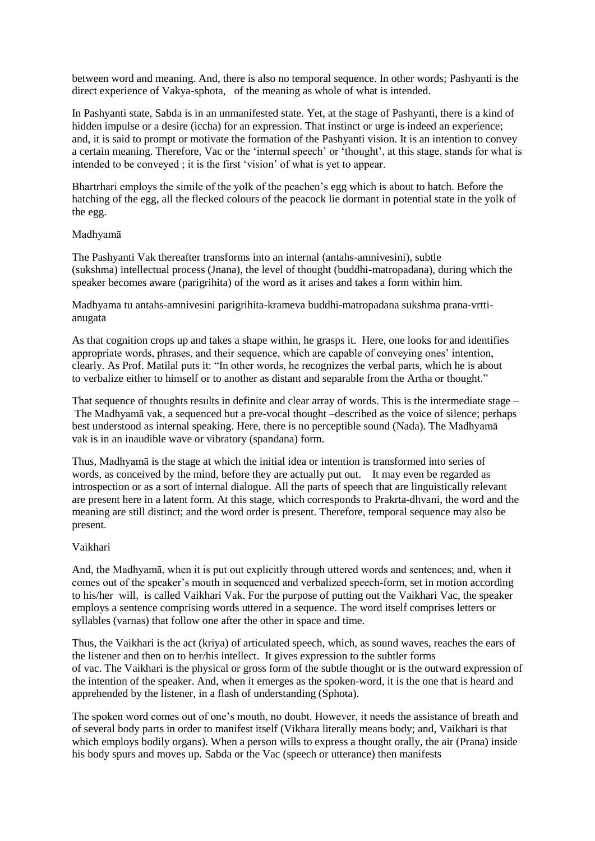between word and meaning. And, there is also no temporal sequence. In other words; Pashyanti is the direct experience of Vakya-sphota, of the meaning as whole of what is intended.

In Pashyanti state, Sabda is in an unmanifested state. Yet, at the stage of Pashyanti, there is a kind of hidden impulse or a desire (iccha) for an expression. That instinct or urge is indeed an experience; and, it is said to prompt or motivate the formation of the Pashyanti vision. It is an intention to convey a certain meaning. Therefore, Vac or the 'internal speech' or 'thought', at this stage, stands for what is intended to be conveyed ; it is the first 'vision' of what is yet to appear.

Bhartrhari employs the simile of the yolk of the peachen's egg which is about to hatch. Before the hatching of the egg, all the flecked colours of the peacock lie dormant in potential state in the yolk of the egg.

## Madhyamā

The Pashyanti Vak thereafter transforms into an internal (antahs-amnivesini), subtle (sukshma) intellectual process (Jnana), the level of thought (buddhi-matropadana), during which the speaker becomes aware (parigrihita) of the word as it arises and takes a form within him.

Madhyama tu antahs-amnivesini parigrihita-krameva buddhi-matropadana sukshma prana-vrttianugata

As that cognition crops up and takes a shape within, he grasps it. Here, one looks for and identifies appropriate words, phrases, and their sequence, which are capable of conveying ones' intention, clearly. As Prof. Matilal puts it: "In other words, he recognizes the verbal parts, which he is about to verbalize either to himself or to another as distant and separable from the Artha or thought."

That sequence of thoughts results in definite and clear array of words. This is the intermediate stage – The Madhyamā vak, a sequenced but a pre-vocal thought –described as the voice of silence; perhaps best understood as internal speaking. Here, there is no perceptible sound (Nada). The Madhyamā vak is in an inaudible wave or vibratory (spandana) form.

Thus, Madhyamā is the stage at which the initial idea or intention is transformed into series of words, as conceived by the mind, before they are actually put out. It may even be regarded as introspection or as a sort of internal dialogue. All the parts of speech that are linguistically relevant are present here in a latent form. At this stage, which corresponds to Prakrta-dhvani, the word and the meaning are still distinct; and the word order is present. Therefore, temporal sequence may also be present.

## Vaikhari

And, the Madhyamā, when it is put out explicitly through uttered words and sentences; and, when it comes out of the speaker's mouth in sequenced and verbalized speech-form, set in motion according to his/her will, is called Vaikhari Vak. For the purpose of putting out the Vaikhari Vac, the speaker employs a sentence comprising words uttered in a sequence. The word itself comprises letters or syllables (varnas) that follow one after the other in space and time.

Thus, the Vaikhari is the act (kriya) of articulated speech, which, as sound waves, reaches the ears of the listener and then on to her/his intellect. It gives expression to the subtler forms of vac. The Vaikhari is the physical or gross form of the subtle thought or is the outward expression of the intention of the speaker. And, when it emerges as the spoken-word, it is the one that is heard and apprehended by the listener, in a flash of understanding (Sphota).

The spoken word comes out of one's mouth, no doubt. However, it needs the assistance of breath and of several body parts in order to manifest itself (Vikhara literally means body; and, Vaikhari is that which employs bodily organs). When a person wills to express a thought orally, the air (Prana) inside his body spurs and moves up. Sabda or the Vac (speech or utterance) then manifests